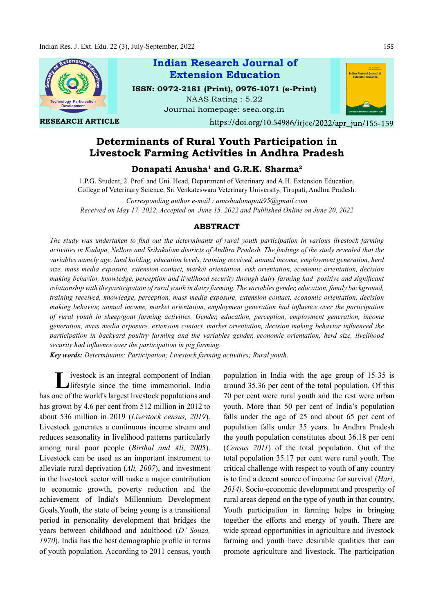

RESEARCH ARTICLE

# Indian Research Journal of ISSN: 0972-2181 (Print), 0976-1071 (e-Print) Extension Education

NAAS Rating : 5.22 Journal homepage: seea.org.in



https://doi.org/10.54986/irjee/2022/apr\_jun/155-159

## Determinants of Rural Youth Participation in Livestock Farming Activities in Andhra Pradesh

Donapati Anusha $^{\rm 1}$  and G.R.K. Sharma $^{\rm 2}$ 

1.P.G. Student, 2. Prof. and Uni. Head, Department of Veterinary and A.H. Extension Education, College of Veterinary Science, Sri Venkateswara Veterinary University, Tirupati, Andhra Pradesh.

Corresponding author e-mail : anushadonapati95@gmail.com Received on May 17, 2022, Accepted on June 15, 2022 and Published Online on June 20, 2022

#### ABSTRACT

The study was undertaken to find out the determinants of rural youth participation in various livestock farming activities in Kadapa, Nellore and Srikakulam districts of Andhra Pradesh. The findings of the study revealed that the variables namely age, land holding, education levels, training received, annual income, employment generation, herd size, mass media exposure, extension contact, market orientation, risk orientation, economic orientation, decision making behavior, knowledge, perception and livelihood security through dairy farming had positive and significant relationship with the participation of rural youth in dairy farming. The variables gender, education, family background, training received, knowledge, perception, mass media exposure, extension contact, economic orientation, decision making behavior, annual income, market orientation, employment generation had influence over the participation of rural youth in sheep/goat farming activities. Gender, education, perception, employment generation, income generation, mass media exposure, extension contact, market orientation, decision making behavior influenced the participation in backyard poultry farming and the variables gender, economic orientation, herd size, livelihood security had influence over the participation in pig farming.

Key words: Determinants; Participation; Livestock farming activities; Rural youth.

I ivestock is an integral component of Indian population in<br>
lifestyle since the time immemorial. India around 35.36 p ivestock is an integral component of Indian has one of the world's largest livestock populations and has grown by 4.6 per cent from 512 million in 2012 to about 536 million in 2019 (Livestock census, 2019). Livestock generates a continuous income stream and reduces seasonality in livelihood patterns particularly among rural poor people (Birthal and Ali, 2005). Livestock can be used as an important instrument to alleviate rural deprivation (Ali, 2007), and investment in the livestock sector will make a major contribution to economic growth, poverty reduction and the achievement of India's Millennium Development Goals.Youth, the state of being young is a transitional period in personality development that bridges the years between childhood and adulthood (D' Souza,  $1970$ ). India has the best demographic profile in terms of youth population. According to 2011 census, youth

population in India with the age group of 15-35 is around 35.36 per cent of the total population. Of this 70 per cent were rural youth and the rest were urban youth. More than 50 per cent of India's population falls under the age of 25 and about 65 per cent of population falls under 35 years. In Andhra Pradesh the youth population constitutes about 36.18 per cent (Census 2011) of the total population. Out of the total population 35.17 per cent were rural youth. The critical challenge with respect to youth of any country is to find a decent source of income for survival (Hari, 2014). Socio-economic development and prosperity of rural areas depend on the type of youth in that country. Youth participation in farming helps in bringing together the efforts and energy of youth. There are wide spread opportunities in agriculture and livestock farming and youth have desirable qualities that can promote agriculture and livestock. The participation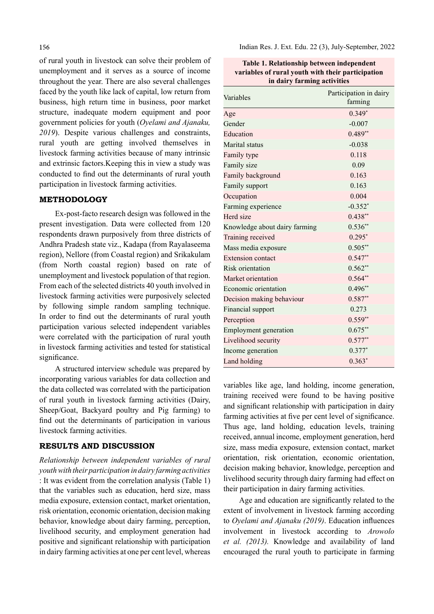of rural youth in livestock can solve their problem of unemployment and it serves as a source of income throughout the year. There are also several challenges faced by the youth like lack of capital, low return from business, high return time in business, poor market structure, inadequate modern equipment and poor government policies for youth (Oyelami and Ajanaku, 2019). Despite various challenges and constraints, rural youth are getting involved themselves in livestock farming activities because of many intrinsic and extrinsic factors.Keeping this in view a study was conducted to find out the determinants of rural youth participation in livestock farming activities.

### METHODOLOGY

Ex-post-facto research design was followed in the present investigation. Data were collected from 120 respondents drawn purposively from three districts of Andhra Pradesh state viz., Kadapa (from Rayalaseema region), Nellore (from Coastal region) and Srikakulam (from North coastal region) based on rate of unemployment and livestock population of that region. From each of the selected districts 40 youth involved in livestock farming activities were purposively selected by following simple random sampling technique. In order to find out the determinants of rural youth participation various selected independent variables were correlated with the participation of rural youth in livestock farming activities and tested for statistical significance.

A structured interview schedule was prepared by incorporating various variables for data collection and the data collected was correlated with the participation of rural youth in livestock farming activities (Dairy, Sheep/Goat, Backyard poultry and Pig farming) to find out the determinants of participation in various livestock farming activities.

#### RESULTS AND DISCUSSION

Relationship between independent variables of rural youth with their participation in dairy farming activities : It was evident from the correlation analysis (Table 1) that the variables such as education, herd size, mass media exposure, extension contact, market orientation, risk orientation, economic orientation, decision making behavior, knowledge about dairy farming, perception, livelihood security, and employment generation had positive and significant relationship with participation in dairy farming activities at one per cent level, whereas Indian Res. J. Ext. Edu. 22 (3), July-September, 2022

| Table 1. Relationship between independent         |
|---------------------------------------------------|
| variables of rural youth with their participation |
| in dairy farming activities                       |

| Variables                     | Participation in dairy<br>farming |
|-------------------------------|-----------------------------------|
| Age                           | $0.349*$                          |
| Gender                        | $-0.007$                          |
| Education                     | $0.489**$                         |
| Marital status                | $-0.038$                          |
| Family type                   | 0.118                             |
| Family size                   | 0.09                              |
| Family background             | 0.163                             |
| Family support                | 0.163                             |
| Occupation                    | 0.004                             |
| Farming experience            | $-0.352*$                         |
| Herd size                     | $0.438**$                         |
| Knowledge about dairy farming | $0.536**$                         |
| Training received             | $0.295*$                          |
| Mass media exposure           | $0.505**$                         |
| Extension contact             | $0.547**$                         |
| Risk orientation              | $0.562**$                         |
| Market orientation            | $0.564**$                         |
| Economic orientation          | $0.496**$                         |
| Decision making behaviour     | $0.587**$                         |
| Financial support             | 0.273                             |
| Perception                    | $0.559**$                         |
| Employment generation         | $0.675**$                         |
| Livelihood security           | $0.577**$                         |
| Income generation             | $0.377*$                          |
| Land holding                  | $0.363*$                          |

variables like age, land holding, income generation, training received were found to be having positive and significant relationship with participation in dairy farming activities at five per cent level of significance. Thus age, land holding, education levels, training received, annual income, employment generation, herd size, mass media exposure, extension contact, market orientation, risk orientation, economic orientation, decision making behavior, knowledge, perception and livelihood security through dairy farming had effect on their participation in dairy farming activities.

Age and education are significantly related to the extent of involvement in livestock farming according to Oyelami and Ajanaku (2019). Education influences involvement in livestock according to Arowolo et al. (2013). Knowledge and availability of land encouraged the rural youth to participate in farming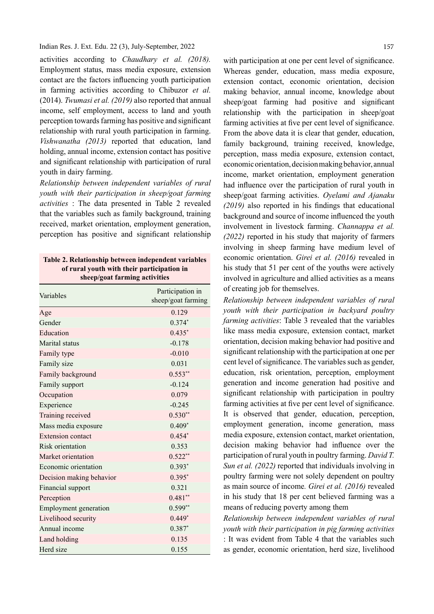Indian Res. J. Ext. Edu. 22 (3), July-September, 2022

activities according to Chaudhary et al. (2018). Employment status, mass media exposure, extension contact are the factors influencing youth participation in farming activities according to Chibuzor et al. (2014). Twumasi et al. (2019) also reported that annual income, self employment, access to land and youth perception towards farming has positive and significant relationship with rural youth participation in farming. Vishwanatha (2013) reported that education, land holding, annual income, extension contact has positive and significant relationship with participation of rural youth in dairy farming.

Relationship between independent variables of rural youth with their participation in sheep/goat farming activities : The data presented in Table 2 revealed that the variables such as family background, training received, market orientation, employment generation, perception has positive and significant relationship

| Table 2. Relationship between independent variables |
|-----------------------------------------------------|
| of rural youth with their participation in          |
| sheep/goat farming activities                       |

| Variables                    | Participation in<br>sheep/goat farming |
|------------------------------|----------------------------------------|
| Age                          | 0.129                                  |
| Gender                       | $0.374*$                               |
| Education                    | $0.435*$                               |
| Marital status               | $-0.178$                               |
| Family type                  | $-0.010$                               |
| Family size                  | 0.031                                  |
| Family background            | $0.553**$                              |
| Family support               | $-0.124$                               |
| Occupation                   | 0.079                                  |
| Experience                   | $-0.245$                               |
| Training received            | $0.530**$                              |
| Mass media exposure          | $0.409*$                               |
| <b>Extension</b> contact     | $0.454*$                               |
| Risk orientation             | 0.353                                  |
| Market orientation           | $0.522**$                              |
| Economic orientation         | $0.393*$                               |
| Decision making behavior     | $0.395*$                               |
| Financial support            | 0.321                                  |
| Perception                   | $0.481**$                              |
| <b>Employment</b> generation | $0.599**$                              |
| Livelihood security          | $0.449*$                               |
| Annual income                | $0.387*$                               |
| Land holding                 | 0.135                                  |
| Herd size                    | 0.155                                  |

with participation at one per cent level of significance. Whereas gender, education, mass media exposure, extension contact, economic orientation, decision making behavior, annual income, knowledge about  $sheep/goat$  farming had positive and significant relationship with the participation in sheep/goat farming activities at five per cent level of significance. From the above data it is clear that gender, education, family background, training received, knowledge, perception, mass media exposure, extension contact, economic orientation, decision making behavior, annual income, market orientation, employment generation had influence over the participation of rural youth in sheep/goat farming activities. Oyelami and Ajanaku  $(2019)$  also reported in his findings that educational background and source of income influenced the youth involvement in livestock farming. Channappa et al. (2022) reported in his study that majority of farmers involving in sheep farming have medium level of economic orientation. Girei et al. (2016) revealed in his study that 51 per cent of the youths were actively involved in agriculture and allied activities as a means of creating job for themselves.

Relationship between independent variables of rural youth with their participation in backyard poultry farming activities: Table 3 revealed that the variables like mass media exposure, extension contact, market orientation, decision making behavior had positive and significant relationship with the participation at one per cent level of significance. The variables such as gender, education, risk orientation, perception, employment generation and income generation had positive and significant relationship with participation in poultry farming activities at five per cent level of significance. It is observed that gender, education, perception, employment generation, income generation, mass media exposure, extension contact, market orientation, decision making behavior had influence over the participation of rural youth in poultry farming. David T. Sun et al. (2022) reported that individuals involving in poultry farming were not solely dependent on poultry as main source of income. Girei et al. (2016) revealed in his study that 18 per cent believed farming was a means of reducing poverty among them

Relationship between independent variables of rural youth with their participation in pig farming activities : It was evident from Table 4 that the variables such as gender, economic orientation, herd size, livelihood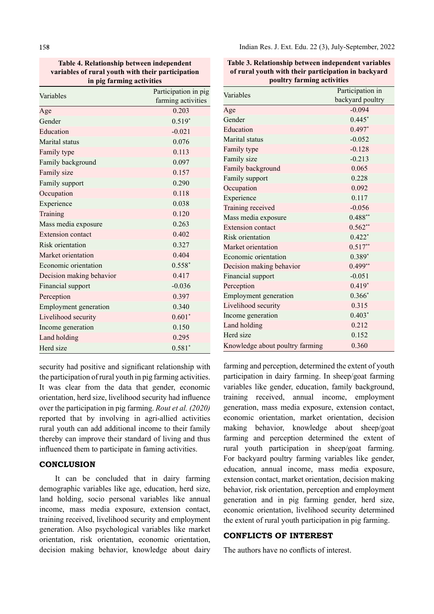158

Table 4. Relationship between independent variables of rural youth with their participation in pig farming activities

| Variables                | Participation in pig |
|--------------------------|----------------------|
|                          | farming activities   |
| Age                      | 0.203                |
| Gender                   | $0.519*$             |
| Education                | $-0.021$             |
| Marital status           | 0.076                |
| Family type              | 0.113                |
| Family background        | 0.097                |
| Family size              | 0.157                |
| Family support           | 0.290                |
| Occupation               | 0.118                |
| Experience               | 0.038                |
| Training                 | 0.120                |
| Mass media exposure      | 0.263                |
| <b>Extension contact</b> | 0.402                |
| <b>Risk orientation</b>  | 0.327                |
| Market orientation       | 0.404                |
| Economic orientation     | $0.558*$             |
| Decision making behavior | 0.417                |
| Financial support        | $-0.036$             |
| Perception               | 0.397                |
| Employment generation    | 0.340                |
| Livelihood security      | $0.601*$             |
| Income generation        | 0.150                |
| Land holding             | 0.295                |
| Herd size                | $0.581*$             |

security had positive and significant relationship with the participation of rural youth in pig farming activities. It was clear from the data that gender, economic orientation, herd size, livelihood security had influence over the participation in pig farming. Rout et al. (2020) reported that by involving in agri-allied activities rural youth can add additional income to their family thereby can improve their standard of living and thus influenced them to participate in faming activities.

### **CONCLUSION**

It can be concluded that in dairy farming demographic variables like age, education, herd size, land holding, socio personal variables like annual income, mass media exposure, extension contact, training received, livelihood security and employment generation. Also psychological variables like market orientation, risk orientation, economic orientation, decision making behavior, knowledge about dairy Table 3. Relationship between independent variables of rural youth with their participation in backyard poultry farming activities

| Variables                       | Participation in |
|---------------------------------|------------------|
|                                 | backyard poultry |
| Age                             | $-0.094$         |
| Gender                          | $0.445*$         |
| Education                       | $0.497*$         |
| Marital status                  | $-0.052$         |
| Family type                     | $-0.128$         |
| Family size                     | $-0.213$         |
| Family background               | 0.065            |
| Family support                  | 0.228            |
| Occupation                      | 0.092            |
| Experience                      | 0.117            |
| Training received               | $-0.056$         |
| Mass media exposure             | $0.488**$        |
| <b>Extension contact</b>        | $0.562**$        |
| Risk orientation                | $0.422*$         |
| Market orientation              | $0.517**$        |
| Economic orientation            | $0.389*$         |
| Decision making behavior        | $0.499**$        |
| Financial support               | $-0.051$         |
| Perception                      | $0.419*$         |
| Employment generation           | $0.366*$         |
| Livelihood security             | 0.315            |
| Income generation               | $0.403*$         |
| Land holding                    | 0.212            |
| Herd size                       | 0.152            |
| Knowledge about poultry farming | 0.360            |

farming and perception, determined the extent of youth participation in dairy farming. In sheep/goat farming variables like gender, education, family background, training received, annual income, employment generation, mass media exposure, extension contact, economic orientation, market orientation, decision making behavior, knowledge about sheep/goat farming and perception determined the extent of rural youth participation in sheep/goat farming. For backyard poultry farming variables like gender, education, annual income, mass media exposure, extension contact, market orientation, decision making behavior, risk orientation, perception and employment generation and in pig farming gender, herd size, economic orientation, livelihood security determined the extent of rural youth participation in pig farming.

## CONFLICTS OF INTEREST

The authors have no conflicts of interest.